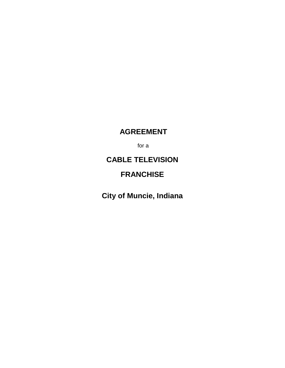# **AGREEMENT**

for a

# **CABLE TELEVISION**

## **FRANCHISE**

**City of Muncie, Indiana**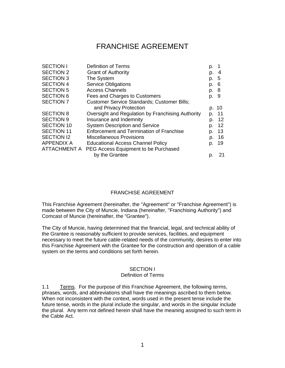## FRANCHISE AGREEMENT

| <b>Definition of Terms</b>                        | p.   |       |
|---------------------------------------------------|------|-------|
| <b>Grant of Authority</b>                         | p.   | 4     |
| The System                                        | p.   | - 5   |
| <b>Service Obligations</b>                        | p. 6 |       |
| <b>Access Channels</b>                            | p. 8 |       |
| Fees and Charges to Customers                     | p. 9 |       |
| Customer Service Standards; Customer Bills;       |      |       |
| and Privacy Protection                            |      | p. 10 |
| Oversight and Regulation by Franchising Authority | p.   | 11    |
| Insurance and Indemnity                           | p.   | 12    |
| <b>System Description and Service</b>             | p.   | 12    |
| <b>Enforcement and Termination of Franchise</b>   | p.   | 13    |
| <b>Miscellaneous Provisions</b>                   | p.   | 16    |
| <b>Educational Access Channel Policy</b>          | p.   | 19    |
| PEG Access Equipment to be Purchased              |      |       |
| by the Grantee                                    | p.   | 21    |
|                                                   |      |       |

#### FRANCHISE AGREEMENT

This Franchise Agreement (hereinafter, the "Agreement" or "Franchise Agreement") is made between the City of Muncie, Indiana (hereinafter, "Franchising Authority") and Comcast of Muncie (hereinafter, the "Grantee").

The City of Muncie, having determined that the financial, legal, and technical ability of the Grantee is reasonably sufficient to provide services, facilities, and equipment necessary to meet the future cable-related needs of the community, desires to enter into this Franchise Agreement with the Grantee for the construction and operation of a cable system on the terms and conditions set forth herein.

#### SECTION I

#### Definition of Terms

1.1 Terms. For the purpose of this Franchise Agreement, the following terms, phrases, words, and abbreviations shall have the meanings ascribed to them below. When not inconsistent with the context, words used in the present tense include the future tense, words in the plural include the singular, and words in the singular include the plural. Any term not defined herein shall have the meaning assigned to such term in the Cable Act.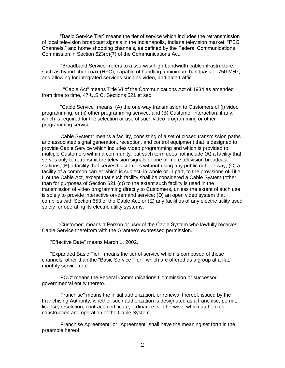"Basic Service Tier" means the tier of service which includes the retransmission of local television broadcast signals in the Indianapolis, Indiana television market, "PEG Channels," and home shopping channels, as defined by the Federal Communications Commission in Section 623(b)(7) of the Communications Act.

 "Broadband Service" refers to a two-way high bandwidth cable infrastructure, such as hybrid fiber coax (HFC), capable of handling a minimum bandpass of 750 MHz, and allowing for integrated services such as video, and data traffic.

"Cable Act" means Title VI of the Communications Act of 1934 as amended from time to time, 47 U.S.C. Sections 521 et seq.

"Cable Service" means: (A) the one-way transmission to Customers of (i) video programming, or (ii) other programming service, and (B) Customer interaction, if any, which is required for the selection or use of such video programming or other programming service.

"Cable System" means a facility, consisting of a set of closed transmission paths and associated signal generation, reception, and control equipment that is designed to provide Cable Service which includes video programming and which is provided to multiple Customers within a community, but such term does not include (A) a facility that serves only to retransmit the television signals of one or more television broadcast stations; (B) a facility that serves Customers without using any public right-of-way; (C) a facility of a common carrier which is subject, in whole or in part, to the provisions of Title II of the Cable Act, except that such facility shall be considered a Cable System (other than for purposes of Section 621 (c)) to the extent such facility is used in the transmission of video programming directly to Customers, unless the extent of such use is solely to provide interactive on-demand service; (D) an open video system that complies with Section 653 of the Cable Act; or (E) any facilities of any electric utility used solely for operating its electric utility systems.

"Customer" means a Person or user of the Cable System who lawfully receives Cable Service therefrom with the Grantee's expressed permission.

"Effective Date" means March 1, 2002.

"Expanded Basic Tier," means the tier of service which is composed of those channels, other than the "Basic Service Tier," which are offered as a group at a flat, monthly service rate.

"FCC" means the Federal Communications Commission or successor governmental entity thereto.

"Franchise" means the initial authorization, or renewal thereof, issued by the Franchising Authority, whether such authorization is designated as a franchise, permit, license, resolution, contract, certificate, ordinance or otherwise, which authorizes construction and operation of the Cable System.

"Franchise Agreement" or "Agreement" shall have the meaning set forth in the preamble hereof.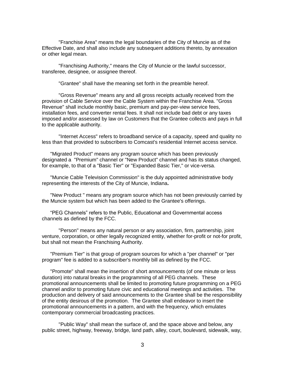"Franchise Area" means the legal boundaries of the City of Muncie as of the Effective Date, and shall also include any subsequent additions thereto, by annexation or other legal mean.

"Franchising Authority," means the City of Muncie or the lawful successor, transferee, designee, or assignee thereof.

"Grantee" shall have the meaning set forth in the preamble hereof.

"Gross Revenue" means any and all gross receipts actually received from the provision of Cable Service over the Cable System within the Franchise Area. "Gross Revenue" shall include monthly basic, premium and pay-per-view service fees, installation fees, and converter rental fees. It shall not include bad debt or any taxes imposed and/or assessed by law on Customers that the Grantee collects and pays in full to the applicable authority.

"Internet Access" refers to broadband service of a capacity, speed and quality no less than that provided to subscribers to Comcast's residential Internet access service.

"Migrated Product" means any program source which has been previously designated a "Premium" channel or "New Product" channel and has its status changed, for example, to that of a "Basic Tier" or "Expanded Basic Tier," or vice-versa.

"Muncie Cable Television Commission" is the duly appointed administrative body representing the interests of the City of Muncie, Indiana**.**

"New Product " means any program source which has not been previously carried by the Muncie system but which has been added to the Grantee's offerings.

"PEG Channels" refers to the Public, Educational and Governmental access channels as defined by the FCC.

"Person" means any natural person or any association, firm, partnership, joint venture, corporation, or other legally recognized entity, whether for-profit or not-for profit, but shall not mean the Franchising Authority.

"Premium Tier" is that group of program sources for which a "per channel" or "per program" fee is added to a subscriber's monthly bill as defined by the FCC.

"Promote" shall mean the insertion of short announcements (of one minute or less duration) into natural breaks in the programming of all PEG channels. These promotional announcements shall be limited to promoting future programming on a PEG channel and/or to promoting future civic and educational meetings and activities. The production and delivery of said announcements to the Grantee shall be the responsibility of the entity desirous of the promotion. The Grantee shall endeavor to insert the promotional announcements in a pattern, and with the frequency, which emulates contemporary commercial broadcasting practices.

"Public Way" shall mean the surface of, and the space above and below, any public street, highway, freeway, bridge, land path, alley, court, boulevard, sidewalk, way,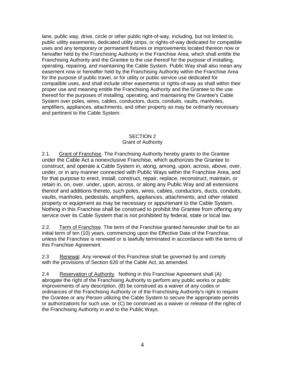lane, public way, drive, circle or other public right-of-way, including, but not limited to, public utility easements, dedicated utility strips, or rights-of-way dedicated for compatible uses and any temporary or permanent fixtures or improvements located thereon now or hereafter held by the Franchising Authority in the Franchise Area, which shall entitle the Franchising Authority and the Grantee to the use thereof for the purpose of installing, operating, repairing, and maintaining the Cable System. Public Way shall also mean any easement now or hereafter held by the Franchising Authority within the Franchise Area for the purpose of public travel, or for utility or public service use dedicated for compatible uses, and shall include other easements or rights-of-way as shall within their proper use and meaning entitle the Franchising Authority and the Grantee to the use thereof for the purposes of installing, operating, and maintaining the Grantee's Cable System over poles, wires, cables, conductors, ducts, conduits, vaults, manholes, amplifiers, appliances, attachments, and other property as may be ordinarily necessary and pertinent to the Cable System.

#### SECTION 2 Grant of Authority

2.1. Grant of Franchise. The Franchising Authority hereby grants to the Grantee under the Cable Act a nonexclusive Franchise, which authorizes the Grantee to construct, and operate a Cable System in, along, among, upon, across, above, over, under, or in any manner connected with Public Ways within the Franchise Area, and for that purpose to erect, install, construct, repair, replace, reconstruct, maintain, or retain in, on, over, under, upon, across, or along any Public Way and all extensions thereof and additions thereto, such poles, wires, cables, conductors, ducts, conduits, vaults, manholes, pedestals, amplifiers, appliances, attachments, and other related property or equipment as may be necessary or appurtenant to the Cable System. Nothing in this Franchise shall be construed to prohibit the Grantee from offering any service over its Cable System that is not prohibited by federal, state or local law.

2.2. Term of Franchise. The term of the Franchise granted hereunder shall be for an initial term of ten (10) years, commencing upon the Effective Date of the Franchise, unless the Franchise is renewed or is lawfully terminated in accordance with the terms of this Franchise Agreement.

2.3 Renewal. Any renewal of this Franchise shall be governed by and comply with the provisions of Section 626 of the Cable Act, as amended.

2.4 Reservation of Authority. Nothing in this Franchise Agreement shall (A) abrogate the right of the Franchising Authority to perform any public works or public improvements of any description, (B) be construed as a waiver of any codes or ordinances of the Franchising Authority or of the Franchising Authority's right to require the Grantee or any Person utilizing the Cable System to secure the appropriate permits or authorizations for such use, or (C) be construed as a waiver or release of the rights of the Franchising Authority in and to the Public Ways.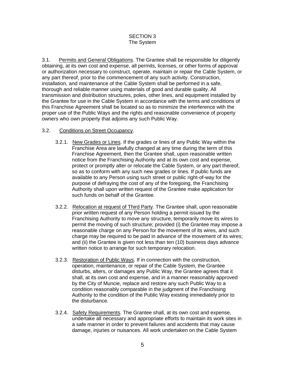#### SECTION 3 The System

3.1. Permits and General Obligations. The Grantee shall be responsible for diligently obtaining, at its own cost and expense, all permits, licenses, or other forms of approval or authorization necessary to construct, operate, maintain or repair the Cable System, or any part thereof, prior to the commencement of any such activity. Construction, installation, and maintenance of the Cable System shall be performed in a safe, thorough and reliable manner using materials of good and durable quality. All transmission and distribution structures, poles, other lines, and equipment installed by the Grantee for use in the Cable System in accordance with the terms and conditions of this Franchise Agreement shall be located so as to minimize the interference with the proper use of the Public Ways and the rights and reasonable convenience of property owners who own property that adjoins any such Public Way.

#### 3.2. Conditions on Street Occupancy.

- 3.2.1. New Grades or Lines. If the grades or lines of any Public Way within the Franchise Area are lawfully changed at any time during the term of this Franchise Agreement, then the Grantee shall, upon reasonable written notice from the Franchising Authority and at its own cost and expense, protect or promptly alter or relocate the Cable System, or any part thereof, so as to conform with any such new grades or lines. If public funds are available to any Person using such street or public right-of-way for the purpose of defraying the cost of any of the foregoing, the Franchising Authority shall upon written request of the Grantee make application for such funds on behalf of the Grantee.
- 3.2.2. Relocation at request of Third Party. The Grantee shall, upon reasonable prior written request of any Person holding a permit issued by the Franchising Authority to move any structure, temporarily move its wires to permit the moving of such structure; provided (i) the Grantee may impose a reasonable charge on any Person for the movement of its wires, and such charge may be required to be paid in advance of the movement of its wires; and (ii) the Grantee is given not less than ten (10) business days advance written notice to arrange for such temporary relocation.
- 3.2.3. Restoration of Public Ways. If in connection with the construction, operation, maintenance, or repair of the Cable System, the Grantee disturbs, alters, or damages any Public Way, the Grantee agrees that it shall, at its own cost and expense, and in a manner reasonably approved by the City of Muncie, replace and restore any such Public Way to a condition reasonably comparable in the judgment of the Franchising Authority to the condition of the Public Way existing immediately prior to the disturbance.
- 3.2.4. Safety Requirements. The Grantee shall, at its own cost and expense, undertake all necessary and appropriate efforts to maintain its work sites in a safe manner in order to prevent failures and accidents that may cause damage, injuries or nuisances. All work undertaken on the Cable System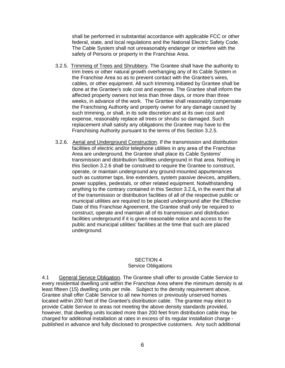shall be performed in substantial accordance with applicable FCC or other federal, state, and local regulations and the National Electric Safety Code. The Cable System shall not unreasonably endanger or interfere with the safety of Persons or property in the Franchise Area.

- 3.2.5. Trimming of Trees and Shrubbery. The Grantee shall have the authority to trim trees or other natural growth overhanging any of its Cable System in the Franchise Area so as to prevent contact with the Grantee's wires, cables, or other equipment. All such trimming initiated by Grantee shall be done at the Grantee's sole cost and expense. The Grantee shall inform the affected property owners not less than three days, or more than three weeks, in advance of the work. The Grantee shall reasonably compensate the Franchising Authority and property owner for any damage caused by such trimming, or shall, in its sole discretion and at its own cost and expense, reasonably replace all trees or shrubs so damaged. Such replacement shall satisfy any obligations the Grantee may have to the Franchising Authority pursuant to the terms of this Section 3.2.5.
- 3.2.6. Aerial and Underground Construction. If the transmission and distribution facilities of electric and/or telephone utilities in any area of the Franchise Area are underground, the Grantee shall place its Cable Systems' transmission and distribution facilities underground in that area. Nothing in this Section 3.2.6 shall be construed to require the Grantee to construct, operate, or maintain underground any ground-mounted appurtenances such as customer taps, line extenders, system passive devices, amplifiers, power supplies, pedestals, or other related equipment. Notwithstanding anything to the contrary contained in this Section 3.2.6**,** in the event that all of the transmission or distribution facilities of all of the respective public or municipal utilities are required to be placed underground after the Effective Date of this Franchise Agreement, the Grantee shall only be required to construct, operate and maintain all of its transmission and distribution facilities underground if it is given reasonable notice and access to the public and municipal utilities' facilities at the time that such are placed underground.

#### SECTION 4 Service Obligations

4.1 General Service Obligation. The Grantee shall offer to provide Cable Service to every residential dwelling unit within the Franchise Area where the minimum density is at least fifteen (15) dwelling units per mile.Subject to the density requirement above, Grantee shall offer Cable Service to all new homes or previously unserved homes located within 200 feet of the Grantee's distribution cable. The grantee may elect to provide Cable Service to areas not meeting the above density standards provided, however, that dwelling units located more than 200 feet from distribution cable may be charged for additional installation at rates in excess of its regular installation charge published in advance and fully disclosed to prospective customers. Any such additional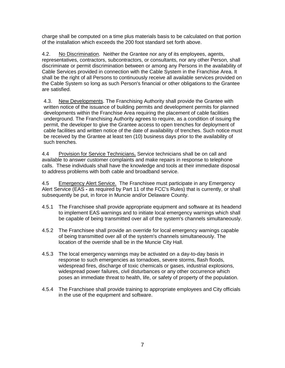charge shall be computed on a time plus materials basis to be calculated on that portion of the installation which exceeds the 200 foot standard set forth above.

4.2. No Discrimination. Neither the Grantee nor any of its employees, agents, representatives, contractors, subcontractors, or consultants, nor any other Person, shall discriminate or permit discrimination between or among any Persons in the availability of Cable Services provided in connection with the Cable System in the Franchise Area. It shall be the right of all Persons to continuously receive all available services provided on the Cable System so long as such Person's financial or other obligations to the Grantee are satisfied.

4.3. New Developments. The Franchising Authority shall provide the Grantee with written notice of the issuance of building permits and development permits for planned developments within the Franchise Area requiring the placement of cable facilities underground. The Franchising Authority agrees to require, as a condition of issuing the permit, the developer to give the Grantee access to open trenches for deployment of cable facilities and written notice of the date of availability of trenches. Such notice must be received by the Grantee at least ten (10) business days prior to the availability of such trenches.

4.4 Provision for Service Technicians**.** Service technicians shall be on call and available to answer customer complaints and make repairs in response to telephone calls. These individuals shall have the knowledge and tools at their immediate disposal to address problems with both cable and broadband service.

4.5 Emergency Alert Service. The Franchisee must participate in any Emergency Alert Service (EAS **-** as required by Part 11 of the FCC's Rules) that is currently, or shall subsequently be put, in force in Muncie and/or Delaware County.

- 4.5.1 The Franchisee shall provide appropriate equipment and software at its headend to implement EAS warnings and to initiate local emergency warnings which shall be capable of being transmitted over all of the system's channels simultaneously.
- 4.5.2 The Franchisee shall provide an override for local emergency warnings capable of being transmitted over all of the system's channels simultaneously. The location of the override shall be in the Muncie City Hall.
- 4.5.3 The local emergency warnings may be activated on a day-to-day basis in response to such emergencies as tornadoes, severe storms, flash floods, widespread fires, discharge of toxic chemicals or gases, industrial explosions, widespread power failures, civil disturbances or any other occurrence which poses an immediate threat to health, life, or safety of property of the population.
- 4.5.4 The Franchisee shall provide training to appropriate employees and City officials in the use of the equipment and software.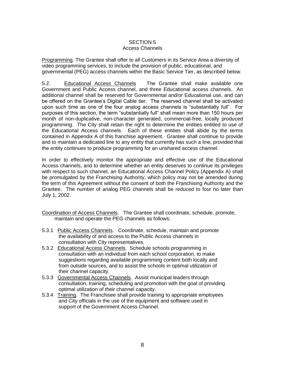### SECTION 5

#### Access Channels

Programming. The Grantee shall offer to all Customers in its Service Area a diversity of video programming services, to include the provision of public, educational, and governmental (PEG) access channels within the Basic Service Tier, as described below.

5.2. Educational Access Channels The Grantee shall make available one Government and Public Access channel, and three Educational access channels. An additional channel shall be reserved for Governmental and/or Educational use, and can be offered on the Grantee's Digital Cable tier. The reserved channel shall be activated upon such time as one of the four analog access channels is "substantially full". For purposes of this section, the term "substantially full" shall mean more than 150 hours per month of non-duplicative, non-character generated, commercial-free, locally produced programming. The City shall retain the right to determine the entities entitled to use of the Educational Access channels. Each of these entities shall abide by the terms contained in Appendix A of this franchise agreement. Grantee shall continue to provide and to maintain a dedicated line to any entity that currently has such a line, provided that the entity continues to produce programming for an unshared access channel.

In order to effectively monitor the appropriate and effective use of the Educational Access channels, and to determine whether an entity deserves to continue its privileges with respect to such channel, an Educational Access Channel Policy (Appendix A) shall be promulgated by the Franchising Authority, which policy may not be amended during the term of this Agreement without the consent of both the Franchising Authority and the Grantee. The number of analog PEG channels shall be reduced to four no later than July 1, 2002.

- Coordination of Access Channels. The Grantee shall coordinate, schedule, promote, maintain and operate the PEG channels as follows:
- 5.3.1 Public Access Channels. Coordinate, schedule, maintain and promote the availability of and access to the Public Access channels in consultation with City representatives.
- 5.3.2 Educational Access Channels. Schedule schools programming in consultation with an individual from each school corporation, to make suggestions regarding available programming content both locally and from outside sources, and to assist the schools in optimal utilization of their channel capacity.
- 5.3.3 Governmental Access Channels. Assist municipal leaders through consultation, training, scheduling and promotion with the goal of providing optimal utilization of their channel capacity.
- 5.3.4 Training. The Franchisee shall provide training to appropriate employees and City officials in the use of the equipment and software used in support of the Government Access Channel.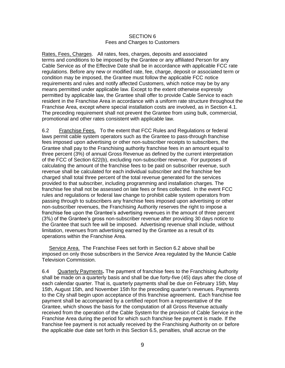#### SECTION 6 Fees and Charges to Customers

Rates, Fees, Charges. All rates, fees, charges, deposits and associated terms and conditions to be imposed by the Grantee or any affiliated Person for any Cable Service as of the Effective Date shall be in accordance with applicable FCC rate regulations. Before any new or modified rate, fee, charge, deposit or associated term or condition may be imposed, the Grantee must follow the applicable FCC notice requirements and rules and notify affected Customers, which notice may be by any means permitted under applicable law. Except to the extent otherwise expressly permitted by applicable law, the Grantee shall offer to provide Cable Service to each resident in the Franchise Area in accordance with a uniform rate structure throughout the Franchise Area, except where special installation costs are involved, as in Section 4.1. The preceding requirement shall not prevent the Grantee from using bulk, commercial, promotional and other rates consistent with applicable law.

6.2 Franchise Fees. To the extent that FCC Rules and Regulations or federal laws permit cable system operators such as the Grantee to pass-through franchise fees imposed upon advertising or other non-subscriber receipts to subscribers, the Grantee shall pay to the Franchising authority franchise fees in an amount equal to three percent (3%) of annual Gross Revenue as defined by the current interpretation of the FCC of Section 622(b), excluding non-subscriber revenue. For purposes of calculating the amount of the franchise fees to be paid on subscriber revenue, such revenue shall be calculated for each individual subscriber and the franchise fee charged shall total three percent of the total revenue generated for the services provided to that subscriber, including programming and installation charges. The franchise fee shall not be assessed on late fees or fines collected. In the event FCC rules and regulations or federal law change to prohibit cable system operators from passing through to subscribers any franchise fees imposed upon advertising or other non-subscriber revenues, the Franchising Authority reserves the right to impose a franchise fee upon the Grantee's advertising revenues in the amount of three percent (3%) of the Grantee's gross non-subscriber revenue after providing 30 days notice to the Grantee that such fee will be imposed. Advertising revenue shall include, without limitation, revenues from advertising earned by the Grantee as a result of its operations within the Franchise Area.

Service Area. The Franchise Fees set forth in Section 6.2 above shall be imposed on only those subscribers in the Service Area regulated by the Muncie Cable Television Commission.

6.4 Quarterly Payments**.** The payment of franchise fees to the Franchising Authority shall be made on a quarterly basis and shall be due forty-five (45) days after the close of each calendar quarter. That is, quarterly payments shall be due on February 15th, May 15th, August 15th, and November 15th for the preceding quarter's revenues. Payments to the City shall begin upon acceptance of this franchise agreement**.** Each franchise fee payment shall be accompanied by a certified report from a representative of the Grantee, which shows the basis for the computation of all Gross Revenue actually received from the operation of the Cable System for the provision of Cable Service in the Franchise Area during the period for which such franchise fee payment is made. If the franchise fee payment is not actually received by the Franchising Authority on or before the applicable due date set forth in this Section 6.5, penalties, shall accrue on the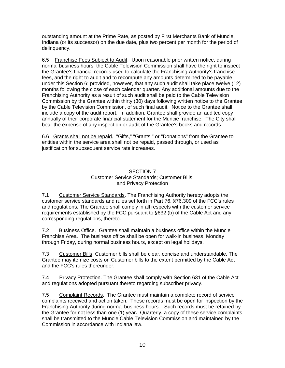outstanding amount at the Prime Rate, as posted by First Merchants Bank of Muncie, Indiana (or its successor) on the due date**,** plus two percent per month for the period of delinquency.

6.5 Franchise Fees Subject to Audit. Upon reasonable prior written notice, during normal business hours, the Cable Television Commission shall have the right to inspect the Grantee's financial records used to calculate the Franchising Authority's franchise fees, and the right to audit and to recompute any amounts determined to be payable under this Section 6; provided, however, that any such audit shall take place twelve (12) months following the close of each calendar quarter. Any additional amounts due to the Franchising Authority as a result of such audit shall be paid to the Cable Television Commission by the Grantee within thirty (30) days following written notice to the Grantee by the Cable Television Commission, of such final audit. Notice to the Grantee shall include a copy of the audit report. In addition, Grantee shall provide an audited copy annually of their corporate financial statement for the Muncie franchise.The City shall bear the expense of any inspection or audit of the Grantee's books and records.

6.6 Grants shall not be repaid. "Gifts," "Grants," or "Donations" from the Grantee to entities within the service area shall not be repaid, passed through, or used as justification for subsequent service rate increases.

#### SECTION 7 Customer Service Standards; Customer Bills; and Privacy Protection

7.1 Customer Service Standards. The Franchising Authority hereby adopts the customer service standards and rules set forth in Part 76, §76.309 of the FCC's rules and regulations. The Grantee shall comply in all respects with the customer service requirements established by the FCC pursuant to §632 (b) of the Cable Act and any corresponding regulations, thereto.

7.2 Business Office. Grantee shall maintain a business office within the Muncie Franchise Area. The business office shall be open for walk-in business, Monday through Friday, during normal business hours, except on legal holidays.

7.3 Customer Bills. Customer bills shall be clear, concise and understandable. The Grantee may itemize costs on Customer bills to the extent permitted by the Cable Act and the FCC's rules thereunder.

7.4 Privacy Protection. The Grantee shall comply with Section 631 of the Cable Act and regulations adopted pursuant thereto regarding subscriber privacy.

7.5 Complaint Records. The Grantee must maintain a complete record of service complaints received and action taken. These records must be open for inspection by the Franchising Authority during normal business hours. Such records must be retained by the Grantee for not less than one (1) year**.** Quarterly, a copy of these service complaints shall be transmitted to the Muncie Cable Television Commission and maintained by the Commission in accordance with Indiana law.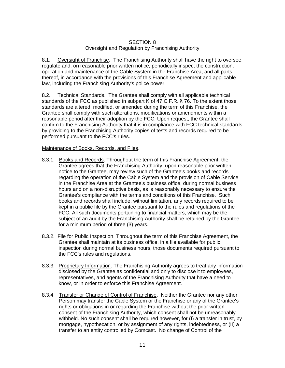#### SECTION 8 Oversight and Regulation by Franchising Authority

8.1. Oversight of Franchise. The Franchising Authority shall have the right to oversee, regulate and, on reasonable prior written notice, periodically inspect the construction, operation and maintenance of the Cable System in the Franchise Area, and all parts thereof, in accordance with the provisions of this Franchise Agreement and applicable law, including the Franchising Authority's police power.

8.2. Technical Standards. The Grantee shall comply with all applicable technical standards of the FCC as published in subpart K of 47 C.F.R. § 76. To the extent those standards are altered, modified, or amended during the term of this Franchise, the Grantee shall comply with such alterations, modifications or amendments within a reasonable period after their adoption by the FCC. Upon request, the Grantee shall confirm to the Franchising Authority that it is in compliance with FCC technical standards by providing to the Franchising Authority copies of tests and records required to be performed pursuant to the FCC's rules.

#### Maintenance of Books, Records, and Files.

- 8.3.1. Books and Records. Throughout the term of this Franchise Agreement, the Grantee agrees that the Franchising Authority, upon reasonable prior written notice to the Grantee, may review such of the Grantee's books and records regarding the operation of the Cable System and the provision of Cable Service in the Franchise Area at the Grantee's business office, during normal business hours and on a non-disruptive basis, as is reasonably necessary to ensure the Grantee's compliance with the terms and conditions of this Franchise. Such books and records shall include, without limitation, any records required to be kept in a public file by the Grantee pursuant to the rules and regulations of the FCC. All such documents pertaining to financial matters, which may be the subject of an audit by the Franchising Authority shall be retained by the Grantee for a minimum period of three (3) years.
- 8.3.2. File for Public Inspection. Throughout the term of this Franchise Agreement, the Grantee shall maintain at its business office, in a file available for public inspection during normal business hours, those documents required pursuant to the FCC's rules and regulations.
- 8.3.3. Proprietary Information. The Franchising Authority agrees to treat any information disclosed by the Grantee as confidential and only to disclose it to employees, representatives, and agents of the Franchising Authority that have a need to know, or in order to enforce this Franchise Agreement.
- 8.3.4 Transfer or Change of Control of Franchise. Neither the Grantee nor any other Person may transfer the Cable System or the Franchise or any of the Grantee's rights or obligations in or regarding the Franchise without the prior written consent of the Franchising Authority, which consent shall not be unreasonably withheld. No such consent shall be required however, for (I) a transfer in trust, by mortgage, hypothecation, or by assignment of any rights, indebtedness, or (II) a transfer to an entity controlled by Comcast. No change of Control of the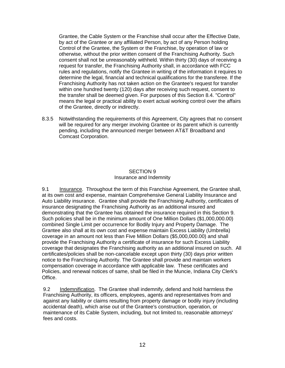Grantee, the Cable System or the Franchise shall occur after the Effective Date, by act of the Grantee or any affiliated Person, by act of any Person holding Control of the Grantee, the System or the Franchise, by operation of law or otherwise, without the prior written consent of the Franchising Authority. Such consent shall not be unreasonably withheld. Within thirty (30) days of receiving a request for transfer, the Franchising Authority shall, in accordance with FCC rules and regulations, notify the Grantee in writing of the information it requires to determine the legal, financial and technical qualifications for the transferee. If the Franchising Authority has not taken action on the Grantee's request for transfer within one hundred twenty (120) days after receiving such request, consent to the transfer shall be deemed given. For purposes of this Section 8.4. "Control" means the legal or practical ability to exert actual working control over the affairs of the Grantee, directly or indirectly.

8.3.5 Notwithstanding the requirements of this Agreement, City agrees that no consent will be required for any merger involving Grantee or its parent which is currently pending, including the announced merger between AT&T Broadband and Comcast Corporation.

#### SECTION 9 Insurance and Indemnity

9.1 Insurance. Throughout the term of this Franchise Agreement, the Grantee shall, at its own cost and expense, maintain Comprehensive General Liability Insurance and Auto Liability insurance. Grantee shall provide the Franchising Authority, certificates of insurance designating the Franchising Authority as an additional insured and demonstrating that the Grantee has obtained the insurance required in this Section 9. Such policies shall be in the minimum amount of One Million Dollars (\$1,000,000.00) combined Single Limit per occurrence for Bodily Injury and Property Damage. The Grantee also shall at its own cost and expense maintain Excess Liability (Umbrella) coverage in an amount not less than Five Million Dollars (\$5,000,000.00) and shall provide the Franchising Authority a certificate of insurance for such Excess Liability coverage that designates the Franchising authority as an additional insured on such. All certificates/policies shall be non-cancelable except upon thirty (30) days prior written notice to the Franchising Authority. The Grantee shall provide and maintain workers compensation coverage in accordance with applicable law. These certificates and Policies, and renewal notices of same, shall be filed in the Muncie, Indiana City Clerk's Office.

9.2 Indemnification. The Grantee shall indemnify, defend and hold harmless the Franchising Authority, its officers, employees, agents and representatives from and against any liability or claims resulting from property damage or bodily injury (including accidental death), which arise out of the Grantee's construction, operation, or maintenance of its Cable System, including, but not limited to, reasonable attorneys' fees and costs.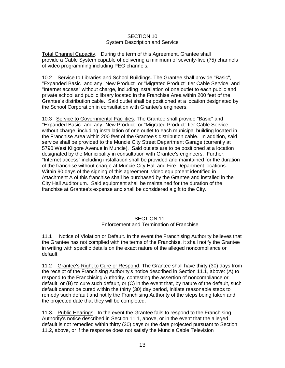#### SECTION 10 System Description and Service

Total Channel Capacity. During the term of this Agreement, Grantee shall provide a Cable System capable of delivering a minimum of seventy-five (75) channels of video programming including PEG channels.

10.2 Service to Libraries and School Buildings. The Grantee shall provide "Basic", "Expanded Basic" and any "New Product" or "Migrated Product" tier Cable Service, and "Internet access" without charge, including installation of one outlet to each public and private school and public library located in the Franchise Area within 200 feet of the Grantee's distribution cable. Said outlet shall be positioned at a location designated by the School Corporation in consultation with Grantee's engineers.

10.3 Service to Governmental Facilities. The Grantee shall provide "Basic" and "Expanded Basic" and any "New Product" or "Migrated Product" tier Cable Service without charge, including installation of one outlet to each municipal building located in the Franchise Area within 200 feet of the Grantee's distribution cable. In addition, said service shall be provided to the Muncie City Street Department Garage (currently at 5790 West Kilgore Avenue in Muncie). Said outlets are to be positioned at a location designated by the Municipality in consultation with Grantee's engineers. Further, "Internet access" including installation shall be provided and maintained for the duration of the franchise without charge at Muncie City Hall and Fire Department locations. Within 90 days of the signing of this agreement, video equipment identified in Attachment A of this franchise shall be purchased by the Grantee and installed in the City Hall Auditorium. Said equipment shall be maintained for the duration of the franchise at Grantee's expense and shall be considered a gift to the City.

#### SECTION 11 Enforcement and Termination of Franchise

11.1 Notice of Violation or Default. In the event the Franchising Authority believes that the Grantee has not complied with the terms of the Franchise, it shall notify the Grantee in writing with specific details on the exact nature of the alleged noncompliance or default.

11.2 Grantee's Right to Cure or Respond. The Grantee shall have thirty (30) days from the receipt of the Franchising Authority's notice described in Section 11.1, above: (A) to respond to the Franchising Authority, contesting the assertion of noncompliance or default, or (B) to cure such default, or (C) in the event that, by nature of the default, such default cannot be cured within the thirty (30) day period, initiate reasonable steps to remedy such default and notify the Franchising Authority of the steps being taken and the projected date that they will be completed.

11.3. Public Hearings. In the event the Grantee fails to respond to the Franchising Authority's notice described in Section 11.1, above, or in the event that the alleged default is not remedied within thirty (30) days or the date projected pursuant to Section 11.2, above, or if the response does not satisfy the Muncie Cable Television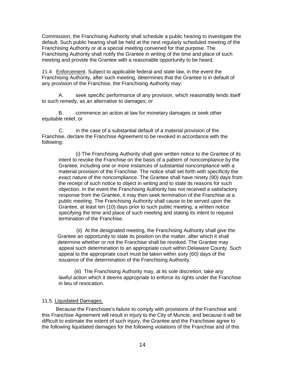Commission, the Franchising Authority shall schedule a public hearing to investigate the default. Such public hearing shall be held at the next regularly scheduled meeting of the Franchising Authority or at a special meeting convened for that purpose. The Franchising Authority shall notify the Grantee in writing of the time and place of such meeting and provide the Grantee with a reasonable opportunity to be heard.

11.4 Enforcement. Subject to applicable federal and state law, in the event the Franchising Authority, after such meeting, determines that the Grantee is in default of any provision of the Franchise, the Franchising Authority may:

A. seek specific performance of any provision, which reasonably lends itself to such remedy, as an alternative to damages; or

B. commence an action at law for monetary damages or seek other equitable relief, or

C. in the case of a substantial default of a material provision of the Franchise, declare the Franchise Agreement to be revoked in accordance with the following:

(i) The Franchising Authority shall give written notice to the Grantee of its intent to revoke the Franchise on the basis of a pattern of noncompliance by the Grantee, including one or more instances of substantial noncompliance with a material provision of the Franchise. The notice shall set forth with specificity the exact nature of the noncompliance. The Grantee shall have ninety (90) days from the receipt of such notice to object in writing and to state its reasons for such objection. In the event the Franchising Authority has not received a satisfactory response from the Grantee, it may then seek termination of the Franchise at a public meeting. The Franchising Authority shall cause to be served upon the Grantee, at least ten (10) days prior to such public meeting, a written notice specifying the time and place of such meeting and stating its intent to request termination of the Franchise.

(ii) At the designated meeting, the Franchising Authority shall give the Grantee an opportunity to state its position on the matter, after which it shall determine whether or not the Franchise shall be revoked. The Grantee may appeal such determination to an appropriate court within Delaware County. Such appeal to the appropriate court must be taken within sixty (60) days of the issuance of the determination of the Franchising Authority.

 (iii) The Franchising Authority may, at its sole discretion, take any lawful action which it deems appropriate to enforce its rights under the Franchise in lieu of revocation.

#### 11.5. Liquidated Damages.

 Because the Franchisee's failure to comply with provisions of the Franchise and this Franchise Agreement will result in injury to the City of Muncie, and because it will be difficult to estimate the extent of such injury, the Grantee and the Franchisee agree to the following liquidated damages for the following violations of the Franchise and of this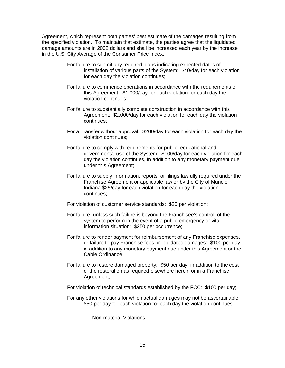Agreement, which represent both parties' best estimate of the damages resulting from the specified violation. To maintain that estimate, the parties agree that the liquidated damage amounts are in 2002 dollars and shall be increased each year by the increase in the U.S. City Average of the Consumer Price Index.

- For failure to submit any required plans indicating expected dates of installation of various parts of the System: \$40/day for each violation for each day the violation continues;
- For failure to commence operations in accordance with the requirements of this Agreement: \$1,000/day for each violation for each day the violation continues;
- For failure to substantially complete construction in accordance with this Agreement: \$2,000/day for each violation for each day the violation continues;
- For a Transfer without approval: \$200/day for each violation for each day the violation continues;
- For failure to comply with requirements for public, educational and governmental use of the System: \$100/day for each violation for each day the violation continues, in addition to any monetary payment due under this Agreement;
- For failure to supply information, reports, or filings lawfully required under the Franchise Agreement or applicable law or by the City of Muncie, Indiana \$25/day for each violation for each day the violation continues;
- For violation of customer service standards: \$25 per violation;
- For failure, unless such failure is beyond the Franchisee's control, of the system to perform in the event of a public emergency or vital information situation: \$250 per occurrence;
- For failure to render payment for reimbursement of any Franchise expenses, or failure to pay Franchise fees or liquidated damages: \$100 per day, in addition to any monetary payment due under this Agreement or the Cable Ordinance;
- For failure to restore damaged property: \$50 per day, in addition to the cost of the restoration as required elsewhere herein or in a Franchise Agreement;
- For violation of technical standards established by the FCC: \$100 per day;
- For any other violations for which actual damages may not be ascertainable: \$50 per day for each violation for each day the violation continues.

Non-material Violations.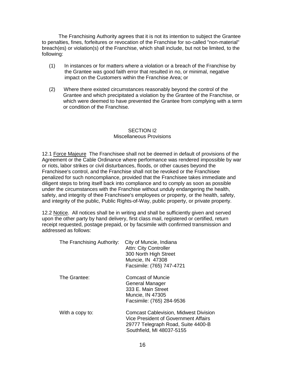The Franchising Authority agrees that it is not its intention to subject the Grantee to penalties, fines, forfeitures or revocation of the Franchise for so-called "non-material" breach(es) or violation(s) of the Franchise, which shall include, but not be limited, to the following:

- (1) In instances or for matters where a violation or a breach of the Franchise by the Grantee was good faith error that resulted in no, or minimal, negative impact on the Customers within the Franchise Area; or
- (2) Where there existed circumstances reasonably beyond the control of the Grantee and which precipitated a violation by the Grantee of the Franchise, or which were deemed to have prevented the Grantee from complying with a term or condition of the Franchise.

#### SECTION I2 Miscellaneous Provisions

12.1 Force Majeure The Franchisee shall not be deemed in default of provisions of the Agreement or the Cable Ordinance where performance was rendered impossible by war or riots, labor strikes or civil disturbances, floods, or other causes beyond the Franchisee's control, and the Franchise shall not be revoked or the Franchisee penalized for such noncompliance, provided that the Franchisee takes immediate and diligent steps to bring itself back into compliance and to comply as soon as possible under the circumstances with the Franchise without unduly endangering the health, safety, and integrity of thee Franchisee's employees or property, or the health, safety, and integrity of the public, Public Rights-of-Way, public property, or private property.

12.2 Notice. All notices shall be in writing and shall be sufficiently given and served upon the other party by hand delivery, first class mail, registered or certified, return receipt requested, postage prepaid, or by facsimile with confirmed transmission and addressed as follows:

| The Franchising Authority: | City of Muncie, Indiana<br><b>Attn: City Controller</b><br>300 North High Street<br>Muncie, IN 47308<br>Facsimile: (765) 747-4721                       |
|----------------------------|---------------------------------------------------------------------------------------------------------------------------------------------------------|
| The Grantee:               | Comcast of Muncie<br>General Manager<br>333 E. Main Street<br>Muncie, IN 47305<br>Facsimile: (765) 284-9536                                             |
| With a copy to:            | <b>Comcast Cablevision, Midwest Division</b><br>Vice President of Government Affairs<br>29777 Telegraph Road, Suite 4400-B<br>Southfield, MI 48037-5155 |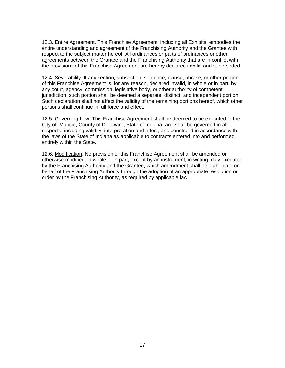12.3. Entire Agreement. This Franchise Agreement, including all Exhibits, embodies the entire understanding and agreement of the Franchising Authority and the Grantee with respect to the subject matter hereof. All ordinances or parts of ordinances or other agreements between the Grantee and the Franchising Authority that are in conflict with the provisions of this Franchise Agreement are hereby declared invalid and superseded.

12.4. Severabilily. If any section, subsection, sentence, clause, phrase, or other portion of this Franchise Agreement is, for any reason, declared invalid, in whole or in part, by any court, agency, commission, legislative body, or other authority of competent jurisdiction, such portion shall be deemed a separate, distinct, and independent portion. Such declaration shall not affect the validity of the remaining portions hereof, which other portions shall continue in full force and effect.

12.5. Governing Law. This Franchise Agreement shall be deemed to be executed in the City of Muncie, County of Delaware, State of Indiana, and shall be governed in all respects, including validity, interpretation and effect, and construed in accordance with, the laws of the State of Indiana as applicable to contracts entered into and performed entirely within the State.

12.6. Modification. No provision of this Franchise Agreement shall be amended or otherwise modified, in whole or in part, except by an instrument, in writing, duly executed by the Franchising Authority and the Grantee, which amendment shall be authorized on behalf of the Franchising Authority through the adoption of an appropriate resolution or order by the Franchising Authority, as required by applicable law.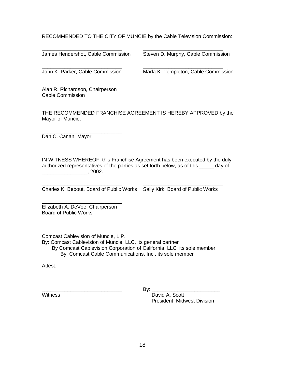RECOMMENDED TO THE CITY OF MUNCIE by the Cable Television Commission:

\_\_\_\_\_\_\_\_\_\_\_\_\_\_\_\_\_\_\_\_\_\_\_\_\_\_\_\_ \_\_\_\_\_\_\_\_\_\_\_\_\_\_\_\_\_\_\_\_\_\_\_\_\_\_\_\_

\_\_\_\_\_\_\_\_\_\_\_\_\_\_\_\_\_\_\_\_\_\_\_\_\_\_\_\_ \_\_\_\_\_\_\_\_\_\_\_\_\_\_\_\_\_\_\_\_\_\_\_\_\_\_\_\_ James Hendershot, Cable Commission Steven D. Murphy, Cable Commission

John K. Parker, Cable Commission Marla K. Templeton, Cable Commission

\_\_\_\_\_\_\_\_\_\_\_\_\_\_\_\_\_\_\_\_\_\_\_\_\_\_\_\_ Alan R. Richardson, Chairperson Cable Commission

THE RECOMMENDED FRANCHISE AGREEMENT IS HEREBY APPROVED by the Mayor of Muncie.

\_\_\_\_\_\_\_\_\_\_\_\_\_\_\_\_\_\_\_\_\_\_\_\_\_\_\_\_ Dan C. Canan, Mayor

IN WITNESS WHEREOF, this Franchise Agreement has been executed by the duly authorized representatives of the parties as set forth below, as of this \_\_\_\_\_ day of \_\_\_\_\_\_\_\_\_\_\_\_\_\_\_\_, 2002.

\_\_\_\_\_\_\_\_\_\_\_\_\_\_\_\_\_\_\_\_\_\_\_\_\_\_\_\_ \_\_\_\_\_\_\_\_\_\_\_\_\_\_\_\_\_\_\_\_\_\_\_\_\_\_\_\_ Charles K. Bebout, Board of Public Works Sally Kirk, Board of Public Works

\_\_\_\_\_\_\_\_\_\_\_\_\_\_\_\_\_\_\_\_\_\_\_\_\_\_\_\_ Elizabeth A. DeVoe, Chairperson Board of Public Works

Comcast Cablevision of Muncie, L.P.

By: Comcast Cablevision of Muncie, LLC, its general partner

 By Comcast Cablevision Corporation of California, LLC, its sole member By: Comcast Cable Communications, Inc., its sole member

Attest:

 $\mathsf{By:}$ 

Witness **David A. Scott** President, Midwest Division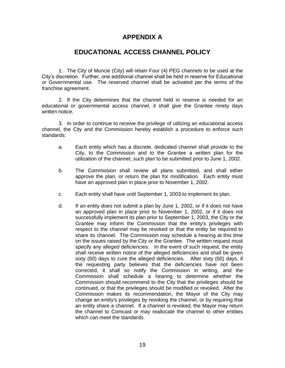### **APPENDIX A**

### **EDUCATIONAL ACCESS CHANNEL POLICY**

1. The City of Muncie (City) will retain Four (4) PEG channels to be used at the City's discretion. Further, one additional channel shall be held in reserve for Educational or Governmental use. The reserved channel shall be activated per the terms of the franchise agreement.

2. If the City determines that the channel held in reserve is needed for an educational or governmental access channel, it shall give the Grantee ninety days written notice.

3. In order to continue to receive the privilege of utilizing an educational access channel, the City and the Commission hereby establish a procedure to enforce such standards:

- a. Each entity which has a discrete, dedicated channel shall provide to the City, to the Commission and to the Grantee a written plan for the utilization of the channel, such plan to be submitted prior to June 1, 2002.
- b. The Commission shall review all plans submitted, and shall either approve the plan, or return the plan for modification. Each entity must have an approved plan in place prior to November 1, 2002.
- c. Each entity shall have until September 1, 2003 to implement its plan.
- d. If an entity does not submit a plan by June 1, 2002, or if it does not have an approved plan in place prior to November 1, 2002, or if it does not successfully implement its plan prior to September 1, 2003, the City or the Grantee may inform the Commission that the entity's privileges with respect to the channel may be revoked or that the entity be required to share its channel. The Commission may schedule a hearing at this time on the issues raised by the City or the Grantee. The written request must specify any alleged deficiencies. In the event of such request, the entity shall receive written notice of the alleged deficiencies and shall be given sixty (60) days to cure the alleged deficiencies. After sixty (60) days, if the requesting party believes that the deficiencies have not been corrected, it shall so notify the Commission in writing, and the Commission shall schedule a hearing to determine whether the Commission should recommend to the City that the privileges should be continued, or that the privileges should be modified or revoked. After the Commission makes its recommendation, the Mayor of the City may change an entity's privileges by revoking the channel, or by requiring that an entity share a channel. If a channel is revoked, the Mayor may return the channel to Comcast or may reallocate the channel to other entities which can meet the standards.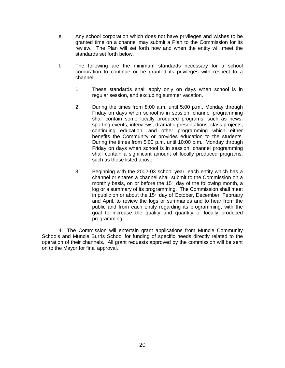- e. Any school corporation which does not have privileges and wishes to be granted time on a channel may submit a Plan to the Commission for its review. The Plan will set forth how and when the entity will meet the standards set forth below.
- f. The following are the minimum standards necessary for a school corporation to continue or be granted its privileges with respect to a channel:
	- 1. These standards shall apply only on days when school is in regular session, and excluding summer vacation.
	- 2. During the times from 8:00 a.m. until 5:00 p.m., Monday through Friday on days when school is in session, channel programming shall contain some locally produced programs, such as news, sporting events, interviews, dramatic presentations, class projects, continuing education, and other programming which either benefits the Community or provides education to the students. During the times from 5:00 p.m. until 10:00 p.m., Monday through Friday on days when school is in session, channel programming shall contain a significant amount of locally produced programs, such as those listed above.
	- 3. Beginning with the 2002-03 school year, each entity which has a channel or shares a channel shall submit to the Commission on a monthly basis, on or before the  $15<sup>th</sup>$  day of the following month, a log or a summary of its programming. The Commission shall meet in public on or about the  $15<sup>th</sup>$  day of October, December, February and April, to review the logs or summaries and to hear from the public and from each entity regarding its programming, with the goal to increase the quality and quantity of locally produced programming.

4. The Commission will entertain grant applications from Muncie Community Schools and Muncie Burris School for funding of specific needs directly related to the operation of their channels. All grant requests approved by the commission will be sent on to the Mayor for final approval.